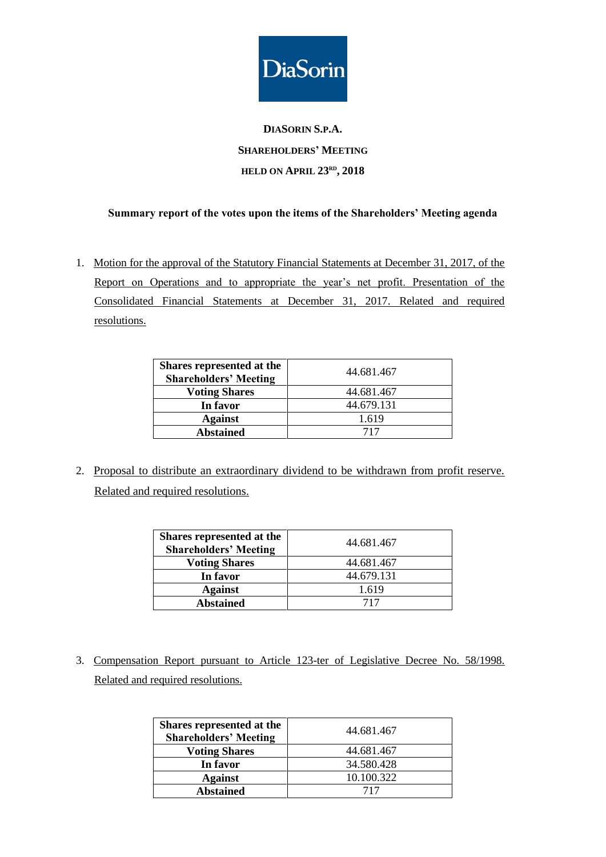

## **DIASORIN S.P.A. SHAREHOLDERS' MEETING HELD ON APRIL 23 RD , 2018**

## **Summary report of the votes upon the items of the Shareholders' Meeting agenda**

1. Motion for the approval of the Statutory Financial Statements at December 31, 2017, of the Report on Operations and to appropriate the year's net profit. Presentation of the Consolidated Financial Statements at December 31, 2017. Related and required resolutions.

| Shares represented at the<br><b>Shareholders' Meeting</b> | 44.681.467 |
|-----------------------------------------------------------|------------|
| <b>Voting Shares</b>                                      | 44.681.467 |
| In favor                                                  | 44.679.131 |
| <b>Against</b>                                            | 1.619      |
| <b>Abstained</b>                                          | 717        |

2. Proposal to distribute an extraordinary dividend to be withdrawn from profit reserve. Related and required resolutions.

| Shares represented at the<br><b>Shareholders' Meeting</b> | 44.681.467 |
|-----------------------------------------------------------|------------|
| <b>Voting Shares</b>                                      | 44.681.467 |
| In favor                                                  | 44.679.131 |
| <b>Against</b>                                            | 1.619      |
| <b>Abstained</b>                                          | 717        |

3. Compensation Report pursuant to Article 123-ter of Legislative Decree No. 58/1998. Related and required resolutions.

| Shares represented at the<br><b>Shareholders' Meeting</b> | 44.681.467 |
|-----------------------------------------------------------|------------|
| <b>Voting Shares</b>                                      | 44.681.467 |
| In favor                                                  | 34.580.428 |
| <b>Against</b>                                            | 10.100.322 |
| <b>Abstained</b>                                          | 717        |